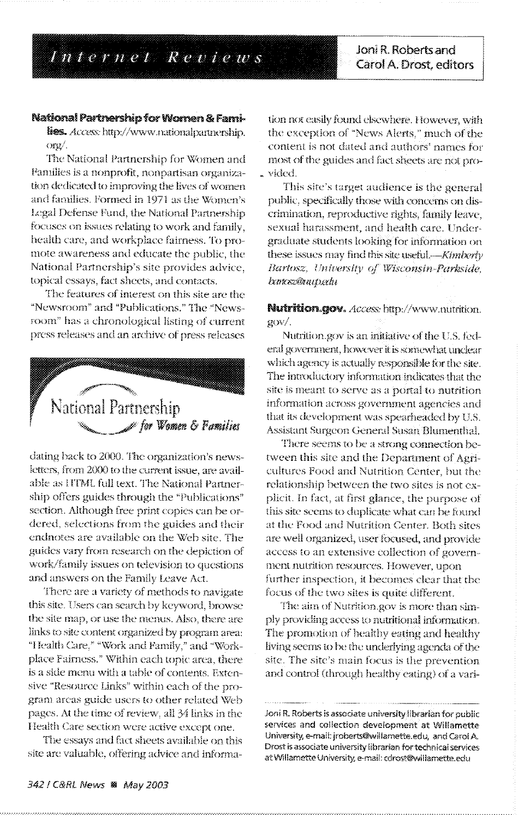Internet Reviews

Joni R. Roberts and Carol A. Drost, editors

## National Partnership for Women & Fami-

lies. Access: http://www.nationalpartnership. org/.

The National Partnership for Women and Families is a nonprofit, nonpartisan organization dedicated to improving the lives of women and families. Formed in 1971 as the Women's Legal Defense Fund, the National Partnership focuses on issues relating to work and family, health care, and workplace fairness. To promote awareness and educate the public, the National Partnership's site provides advice, topical essays, fact sheets, and contacts.

The features of interest on this site are the "Newsroom" and "Publications." The "Newsroom" has a chronological listing of current press releases and an archive of press releases



dating back to 2000. The organization's newsletters, from 2000 to the current issue, are available as IITML full text. The National Partnership offers guides through the "Publications" section. Although free print copies can be ordered, selections from the guides and their endnotes are available on the Web site. The guides vary from research on the depiction of work/family issues on television to questions and answers on the Family Leave Act.

There are a variety of methods to navigate this site. Users can search by keyword, browse the site map, or use the menus. Also, there are links to site content organized by program area: "Health Care," "Work and Family," and "Workplace Fairness." Within each topic area, there is a side menu with a table of contents. Extensive "Resource Links" within each of the program areas guide users to other related Web pages. At the time of review, all 34 links in the Health Care section were active except one.

The essays and fact sheets available on this site are valuable, offering advice and informa-

tion not easily found elsewhere. However, with the exception of "News Alerts," much of the content is not dated and authors' names for most of the guides and fact sheets are not pro-. vided.

This site's target audience is the general public, specifically those with concerns on discrimination, reproductive rights, family leave, sexual harassment, and health care. Undergraduate students looking for information on these issues may find this site useful.---Kimberly Bartosz, University of Wisconsin-Parkside, bances@uup.edu

Nutrition.gov. Access http://www.nutrition.  $QOW/$ .

Nutrition.gov is an initiative of the U.S. federal government, however it is somewhat unclear which agency is actually responsible for the site. The introductory information indicates that the site is meant to serve as a portal to nutrition information across government agencies and that its development was spearheaded by U.S. Assistant Surgeon General Susan Blumenthal.

There seems to be a strong connection between this site and the Department of Agricultures Food and Nutrition Center, but the relationship between the two sites is not explicit. In fact, at first glance, the purpose of this site seems to duplicate what can be found at the Food and Nutrition Center. Both sites are well organized, user focused, and provide access to an extensive collection of government nutrition resources. However, upon further inspection, it becomes clear that the focus of the two sites is quite different.

The aim of Nutrition.gov is more than simply providing access to nutritional information. The promotion of healthy eating and healthy living seems to be the underlying agenda of the site. The site's main focus is the prevention and control (through healthy eating) of a vari-

Joni R. Roberts is associate university librarian for public services and collection development at Willamette University, e-mail: jroberts@willamette.edu, and Carol A. Drost is associate university librarian for technical services at Willamette University, e-mail: cdrost@willamette.edu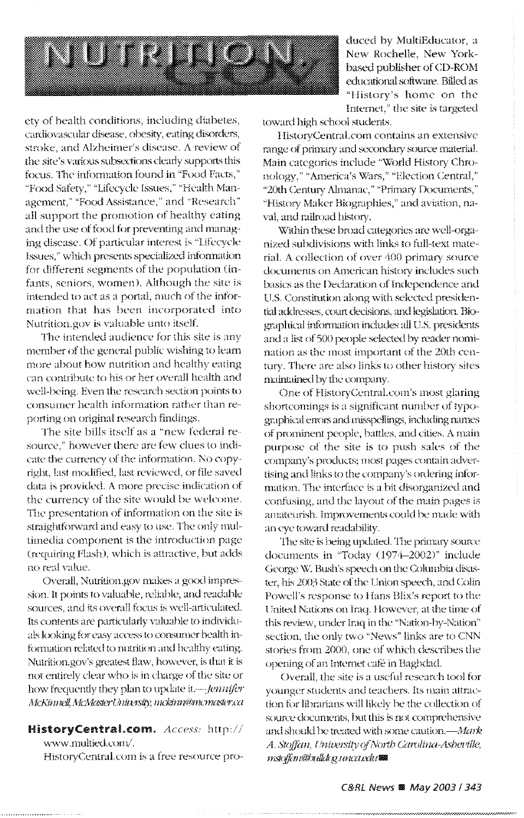

duced by MultiEducator, a New Rochelle, New Yorkbased publisher of CD-ROM educational software. Billed as "History's home on the Internet," the site is targeted

ety of health conditions, including diabetes, cardiovascular disease, obesity, eating disorders, stroke, and Alzheimer's disease. A review of the site's various subsections clearly supports this focus. The information found in "Food Facts," "Food Safety," "Lifecycle Issues," "Health Management," "Food Assistance," and "Research" all support the promotion of healthy eating and the use of food for preventing and managing disease. Of particular interest is "Lifecycle Issues," which presents specialized information for different segments of the population (infants, seniors, women). Although the site is intended to act as a portal, much of the information that has been incorporated into Nutrition.gov is valuable unto itself.

The intended audience for this site is any member of the general public wishing to learn more about how nutrition and healthy eating can contribute to his or her overall health and well-being. Even the research section points to consumer health information rather than reporting on original research findings.

The site bills itself as a "new federal resource," however there are few clues to indicate the currency of the information. No copyright, last modified, last reviewed, or file saved data is provided. A more precise indication of the currency of the site would be welcome. The presentation of information on the site is straightforward and easy to use. The only multimedia component is the introduction page (requiring Flash), which is attractive, but adds no real value.

Overall, Nutrition.gov makes a good impression. It points to valuable, reliable, and readable sources, and its overall focus is well-articulated. Its contents are particularly valuable to individuals looking for easy access to consumer health information related to nutrition and healthy eating. Nutrition.gov's greatest flaw, however, is that it is not entirely clear who is in charge of the site or how frequently they plan to update it. *-- Jennifer* McKinnell, McMaster University, mckinn@mcmaster.ca

HistoryCentral.com. Access: http:// www.multied.com/.

HistoryCentral.com is a free resource pro-

toward high school students.

HistoryCentral.com contains an extensive range of primary and secondary source material. Main categories include "World History Chronology," "America's Wars," "Election Central," "20th Century Almanac," "Primary Documents," "History Maker Biographies," and aviation, naval, and railroad history.

Within these broad categories are well-organized subdivisions with links to full-text material. A collection of over 400 primary source documents on American history includes such basics as the Declaration of Independence and U.S. Constitution along with selected presidential addresses, court decisions, and legislation. Biographical information includes all U.S. presidents and a list of 500 people selected by reader nomination as the most important of the 20th century. There are also links to other history sites maintained by the company.

One of HistoryCentral.com's most glaring shortcomings is a significant number of typographical errors and misspellings, including names of prominent people, battles, and cities. A main purpose of the site is to push sales of the company's products; most pages contain advertising and links to the company's ordering information. The interface is a bit disorganized and confusing, and the layout of the main pages is amateurish. Improvements could be made with an eye toward readability.

The site is being updated. The primary source documents in "Today (1974-2002)" include George W. Bush's speech on the Columbia disaster, his 2003 State of the Union speech, and Colin Powell's response to Hans Blix's report to the United Nations on Iraq. However, at the time of this review, under Iraq in the "Nation-by-Nation" section, the only two "News" links are to CNN stories from 2000, one of which describes the opening of an Internet café in Baghdad.

Overall, the site is a useful research tool for younger students and teachers. Its main attraction for librarians will likely be the collection of source documents, but this is not comprehensive and should be treated with some caution.-Mark A. Stoffan, University of North Carolina-Asheville, mstoffan@bulldog.unca.edu

,,,,,,,,,,,,,,,,,,,,,,,,,,,,